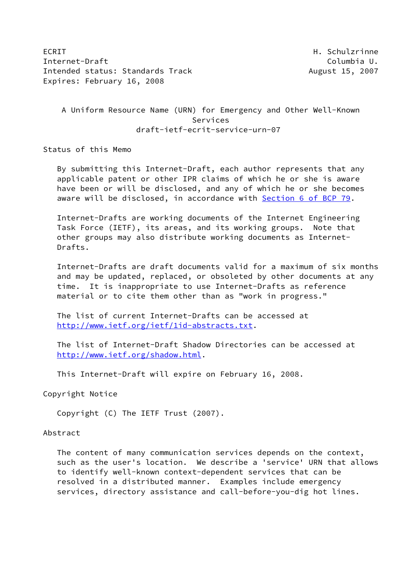ECRIT **H. Schulzrinne** Internet-Draft **Columbia U.** The Columbia U. Intended status: Standards Track August 15, 2007 Expires: February 16, 2008

# A Uniform Resource Name (URN) for Emergency and Other Well-Known Services draft-ietf-ecrit-service-urn-07

Status of this Memo

 By submitting this Internet-Draft, each author represents that any applicable patent or other IPR claims of which he or she is aware have been or will be disclosed, and any of which he or she becomes aware will be disclosed, in accordance with Section [6 of BCP 79.](https://datatracker.ietf.org/doc/pdf/bcp79#section-6)

 Internet-Drafts are working documents of the Internet Engineering Task Force (IETF), its areas, and its working groups. Note that other groups may also distribute working documents as Internet- Drafts.

 Internet-Drafts are draft documents valid for a maximum of six months and may be updated, replaced, or obsoleted by other documents at any time. It is inappropriate to use Internet-Drafts as reference material or to cite them other than as "work in progress."

 The list of current Internet-Drafts can be accessed at <http://www.ietf.org/ietf/1id-abstracts.txt>.

 The list of Internet-Draft Shadow Directories can be accessed at <http://www.ietf.org/shadow.html>.

This Internet-Draft will expire on February 16, 2008.

Copyright Notice

Copyright (C) The IETF Trust (2007).

#### Abstract

 The content of many communication services depends on the context, such as the user's location. We describe a 'service' URN that allows to identify well-known context-dependent services that can be resolved in a distributed manner. Examples include emergency services, directory assistance and call-before-you-dig hot lines.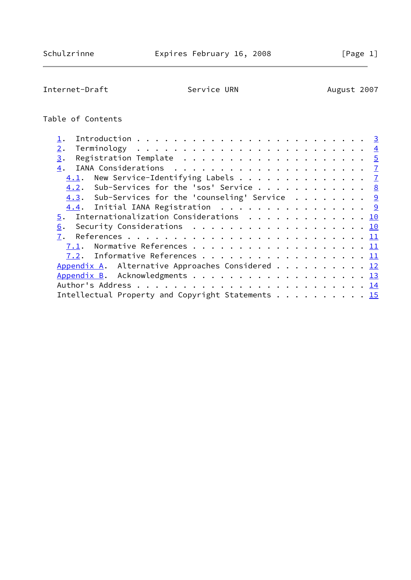Internet-Draft Service URN August 2007

# Table of Contents

| 2.                                                                             |  |
|--------------------------------------------------------------------------------|--|
| Registration Template $\ldots \ldots \ldots \ldots \ldots \ldots \ldots$<br>3. |  |
| 4.                                                                             |  |
| $4.1$ . New Service-Identifying Labels 7                                       |  |
| 4.2. Sub-Services for the 'sos' Service 8                                      |  |
| 4.3. Sub-Services for the 'counseling' Service $9$                             |  |
| 4.4. Initial IANA Registration 9                                               |  |
| $\underline{5}$ . Internationalization Considerations 10                       |  |
| Security Considerations 10<br>6.                                               |  |
| 7.                                                                             |  |
| 7.1. Normative References 11                                                   |  |
| 7.2. Informative References 11                                                 |  |
| Appendix A. Alternative Approaches Considered 12                               |  |
| Appendix B. Acknowledgments 13                                                 |  |
|                                                                                |  |
| Intellectual Property and Copyright Statements 15                              |  |
|                                                                                |  |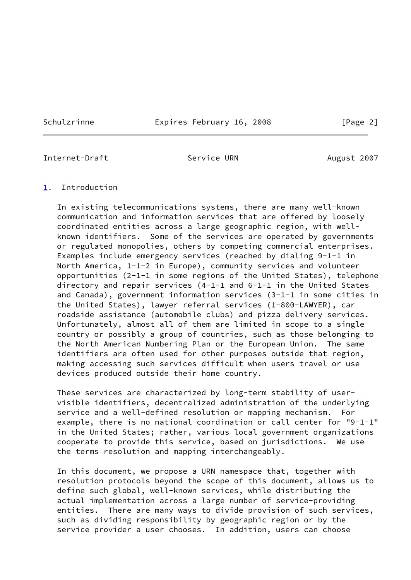Schulzrinne Expires February 16, 2008 [Page 2]

<span id="page-2-1"></span>Internet-Draft **Service URN** August 2007

## <span id="page-2-0"></span>[1](#page-2-0). Introduction

 In existing telecommunications systems, there are many well-known communication and information services that are offered by loosely coordinated entities across a large geographic region, with well known identifiers. Some of the services are operated by governments or regulated monopolies, others by competing commercial enterprises. Examples include emergency services (reached by dialing 9-1-1 in North America, 1-1-2 in Europe), community services and volunteer opportunities (2-1-1 in some regions of the United States), telephone directory and repair services (4-1-1 and 6-1-1 in the United States and Canada), government information services (3-1-1 in some cities in the United States), lawyer referral services (1-800-LAWYER), car roadside assistance (automobile clubs) and pizza delivery services. Unfortunately, almost all of them are limited in scope to a single country or possibly a group of countries, such as those belonging to the North American Numbering Plan or the European Union. The same identifiers are often used for other purposes outside that region, making accessing such services difficult when users travel or use devices produced outside their home country.

 These services are characterized by long-term stability of user visible identifiers, decentralized administration of the underlying service and a well-defined resolution or mapping mechanism. For example, there is no national coordination or call center for "9-1-1" in the United States; rather, various local government organizations cooperate to provide this service, based on jurisdictions. We use the terms resolution and mapping interchangeably.

 In this document, we propose a URN namespace that, together with resolution protocols beyond the scope of this document, allows us to define such global, well-known services, while distributing the actual implementation across a large number of service-providing entities. There are many ways to divide provision of such services, such as dividing responsibility by geographic region or by the service provider a user chooses. In addition, users can choose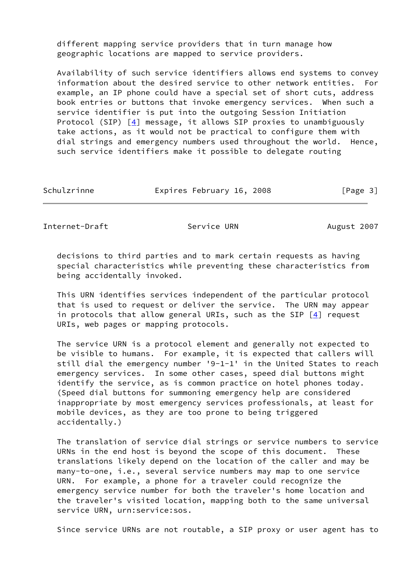different mapping service providers that in turn manage how geographic locations are mapped to service providers.

 Availability of such service identifiers allows end systems to convey information about the desired service to other network entities. For example, an IP phone could have a special set of short cuts, address book entries or buttons that invoke emergency services. When such a service identifier is put into the outgoing Session Initiation Protocol (SIP)  $[4]$  $[4]$  message, it allows SIP proxies to unambiguously take actions, as it would not be practical to configure them with dial strings and emergency numbers used throughout the world. Hence, such service identifiers make it possible to delegate routing

| Schulzrinne | Expires February 16, 2008 | [Page 3] |
|-------------|---------------------------|----------|
|             |                           |          |

<span id="page-3-0"></span>Internet-Draft Service URN August 2007

 decisions to third parties and to mark certain requests as having special characteristics while preventing these characteristics from being accidentally invoked.

 This URN identifies services independent of the particular protocol that is used to request or deliver the service. The URN may appear in protocols that allow general URIs, such as the SIP  $[4]$  $[4]$  request URIs, web pages or mapping protocols.

 The service URN is a protocol element and generally not expected to be visible to humans. For example, it is expected that callers will still dial the emergency number '9-1-1' in the United States to reach emergency services. In some other cases, speed dial buttons might identify the service, as is common practice on hotel phones today. (Speed dial buttons for summoning emergency help are considered inappropriate by most emergency services professionals, at least for mobile devices, as they are too prone to being triggered accidentally.)

 The translation of service dial strings or service numbers to service URNs in the end host is beyond the scope of this document. These translations likely depend on the location of the caller and may be many-to-one, i.e., several service numbers may map to one service URN. For example, a phone for a traveler could recognize the emergency service number for both the traveler's home location and the traveler's visited location, mapping both to the same universal service URN, urn:service:sos.

Since service URNs are not routable, a SIP proxy or user agent has to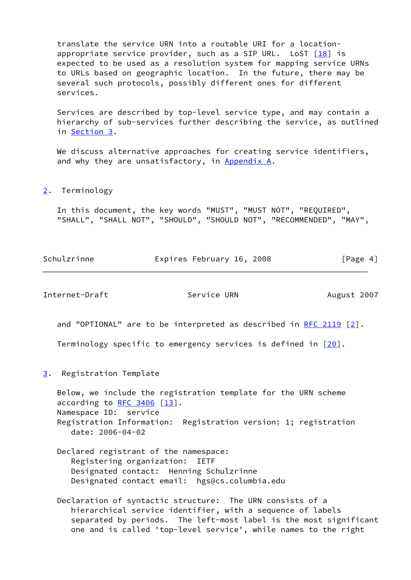translate the service URN into a routable URI for a location appropriate service provider, such as a SIP URL. LoST  $[18]$  $[18]$  is expected to be used as a resolution system for mapping service URNs to URLs based on geographic location. In the future, there may be several such protocols, possibly different ones for different services.

 Services are described by top-level service type, and may contain a hierarchy of sub-services further describing the service, as outlined in [Section 3.](#page-4-1)

We discuss alternative approaches for creating service identifiers, and why they are unsatisfactory, in [Appendix A.](#page-13-0)

<span id="page-4-0"></span>[2](#page-4-0). Terminology

 In this document, the key words "MUST", "MUST NOT", "REQUIRED", "SHALL", "SHALL NOT", "SHOULD", "SHOULD NOT", "RECOMMENDED", "MAY",

| Schulzrinne | Expires February 16, 2008 | [Page 4] |
|-------------|---------------------------|----------|
|             |                           |          |

<span id="page-4-2"></span>Internet-Draft Service URN August 2007

and "OPTIONAL" are to be interpreted as described in [RFC 2119](https://datatracker.ietf.org/doc/pdf/rfc2119)  $[2]$  $[2]$ .

Terminology specific to emergency services is defined in  $[20]$ .

<span id="page-4-1"></span>[3](#page-4-1). Registration Template

 Below, we include the registration template for the URN scheme according to  $RFC$  3406  $[13]$  $[13]$ . Namespace ID: service Registration Information: Registration version: 1; registration date: 2006-04-02

- Declared registrant of the namespace: Registering organization: IETF Designated contact: Henning Schulzrinne Designated contact email: hgs@cs.columbia.edu
- Declaration of syntactic structure: The URN consists of a hierarchical service identifier, with a sequence of labels separated by periods. The left-most label is the most significant one and is called 'top-level service', while names to the right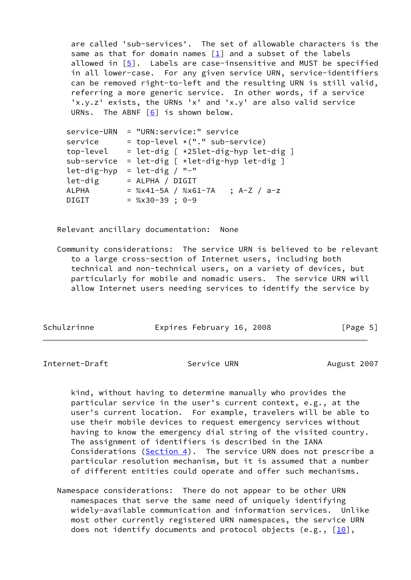are called 'sub-services'. The set of allowable characters is the same as that for domain names  $[1]$  and a subset of the labels allowed in [[5\]](#page-11-7). Labels are case-insensitive and MUST be specified in all lower-case. For any given service URN, service-identifiers can be removed right-to-left and the resulting URN is still valid, referring a more generic service. In other words, if a service 'x.y.z' exists, the URNs 'x' and 'x.y' are also valid service URNs. The ABNF [[6\]](#page-11-8) is shown below.

| $=$ top-level $*(".$ " sub-service)<br>service<br>top-level<br>sub-service<br>$=$ let-dig $[ *let-dig-hyp let-dig ]$<br>$=$ let-dig / "-"<br>let-dig-hyp<br>let-dig<br>= ALPHA / DIGIT<br><b>ALPHA</b><br>$=$ %x41-5A / %x61-7A<br>; $A-Z / a-z$<br><b>DIGIT</b> | service-URN | = "URN:service:" service                 |
|------------------------------------------------------------------------------------------------------------------------------------------------------------------------------------------------------------------------------------------------------------------|-------------|------------------------------------------|
|                                                                                                                                                                                                                                                                  |             |                                          |
|                                                                                                                                                                                                                                                                  |             | $=$ let-dig $[ *25let-dig-hyp let-dig ]$ |
|                                                                                                                                                                                                                                                                  |             |                                          |
|                                                                                                                                                                                                                                                                  |             |                                          |
|                                                                                                                                                                                                                                                                  |             |                                          |
|                                                                                                                                                                                                                                                                  |             |                                          |
|                                                                                                                                                                                                                                                                  |             | $=$ %x30-39; 0-9                         |

Relevant ancillary documentation: None

 Community considerations: The service URN is believed to be relevant to a large cross-section of Internet users, including both technical and non-technical users, on a variety of devices, but particularly for mobile and nomadic users. The service URN will allow Internet users needing services to identify the service by

| Schulzrinne | Expires February 16, 2008 | [Page 5] |
|-------------|---------------------------|----------|
|-------------|---------------------------|----------|

Internet-Draft Service URN August 2007

 kind, without having to determine manually who provides the particular service in the user's current context, e.g., at the user's current location. For example, travelers will be able to use their mobile devices to request emergency services without having to know the emergency dial string of the visited country. The assignment of identifiers is described in the IANA Considerations ([Section 4\)](#page-7-0). The service URN does not prescribe a particular resolution mechanism, but it is assumed that a number of different entities could operate and offer such mechanisms.

 Namespace considerations: There do not appear to be other URN namespaces that serve the same need of uniquely identifying widely-available communication and information services. Unlike most other currently registered URN namespaces, the service URN does not identify documents and protocol objects (e.g.,  $[10]$  $[10]$ ,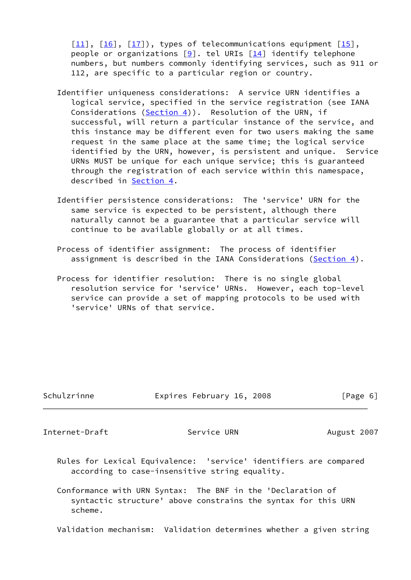$[11]$  $[11]$ ,  $[16]$ ,  $[17]$  $[17]$ ), types of telecommunications equipment  $[15]$ , people or organizations  $[9]$  $[9]$ . tel URIs  $[14]$  identify telephone numbers, but numbers commonly identifying services, such as 911 or 112, are specific to a particular region or country.

- Identifier uniqueness considerations: A service URN identifies a logical service, specified in the service registration (see IANA Considerations  $(Section 4)$  $(Section 4)$ ). Resolution of the URN, if successful, will return a particular instance of the service, and this instance may be different even for two users making the same request in the same place at the same time; the logical service identified by the URN, however, is persistent and unique. Service URNs MUST be unique for each unique service; this is guaranteed through the registration of each service within this namespace, described in [Section 4](#page-7-0).
- Identifier persistence considerations: The 'service' URN for the same service is expected to be persistent, although there naturally cannot be a guarantee that a particular service will continue to be available globally or at all times.
- Process of identifier assignment: The process of identifier assignment is described in the IANA Considerations ([Section 4\)](#page-7-0).
- Process for identifier resolution: There is no single global resolution service for 'service' URNs. However, each top-level service can provide a set of mapping protocols to be used with 'service' URNs of that service.

Schulzrinne **Expires February 16, 2008** [Page 6]

<span id="page-6-0"></span>Internet-Draft Service URN August 2007

 Rules for Lexical Equivalence: 'service' identifiers are compared according to case-insensitive string equality.

 Conformance with URN Syntax: The BNF in the 'Declaration of syntactic structure' above constrains the syntax for this URN scheme.

Validation mechanism: Validation determines whether a given string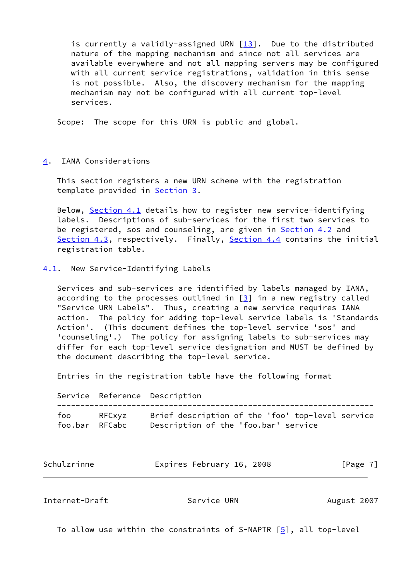is currently a validly-assigned URN [\[13](#page-12-3)]. Due to the distributed nature of the mapping mechanism and since not all services are available everywhere and not all mapping servers may be configured with all current service registrations, validation in this sense is not possible. Also, the discovery mechanism for the mapping mechanism may not be configured with all current top-level services.

Scope: The scope for this URN is public and global.

## <span id="page-7-0"></span>[4](#page-7-0). IANA Considerations

 This section registers a new URN scheme with the registration template provided in [Section 3](#page-4-1).

 Below, [Section 4.1](#page-7-1) details how to register new service-identifying labels. Descriptions of sub-services for the first two services to be registered, sos and counseling, are given in [Section 4.2](#page-8-0) and [Section 4.3](#page-9-0), respectively. Finally, [Section 4.4](#page-9-2) contains the initial registration table.

<span id="page-7-1"></span>[4.1](#page-7-1). New Service-Identifying Labels

 Services and sub-services are identified by labels managed by IANA, according to the processes outlined in  $[3]$  $[3]$  in a new registry called "Service URN Labels". Thus, creating a new service requires IANA action. The policy for adding top-level service labels is 'Standards Action'. (This document defines the top-level service 'sos' and 'counseling'.) The policy for assigning labels to sub-services may differ for each top-level service designation and MUST be defined by the document describing the top-level service.

Entries in the registration table have the following format

 Service Reference Description ------------------------------------------------------------------- foo RFCxyz Brief description of the 'foo' top-level service foo.bar RFCabc Description of the 'foo.bar' service

| Schulzrinne | Expires February 16, 2008 | [Page 7] |
|-------------|---------------------------|----------|
|             |                           |          |

<span id="page-7-2"></span>Internet-Draft **Service URN** August 2007

To allow use within the constraints of S-NAPTR  $[5]$  $[5]$ , all top-level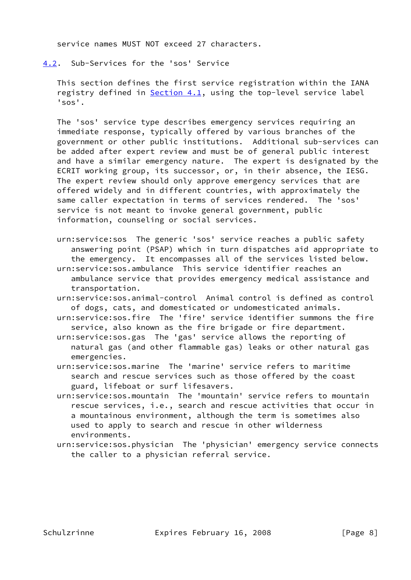service names MUST NOT exceed 27 characters.

<span id="page-8-0"></span>[4.2](#page-8-0). Sub-Services for the 'sos' Service

 This section defines the first service registration within the IANA registry defined in **Section 4.1**, using the top-level service label 'sos'.

 The 'sos' service type describes emergency services requiring an immediate response, typically offered by various branches of the government or other public institutions. Additional sub-services can be added after expert review and must be of general public interest and have a similar emergency nature. The expert is designated by the ECRIT working group, its successor, or, in their absence, the IESG. The expert review should only approve emergency services that are offered widely and in different countries, with approximately the same caller expectation in terms of services rendered. The 'sos' service is not meant to invoke general government, public information, counseling or social services.

 urn:service:sos The generic 'sos' service reaches a public safety answering point (PSAP) which in turn dispatches aid appropriate to the emergency. It encompasses all of the services listed below.

- urn:service:sos.ambulance This service identifier reaches an ambulance service that provides emergency medical assistance and transportation.
- urn:service:sos.animal-control Animal control is defined as control of dogs, cats, and domesticated or undomesticated animals.
- urn:service:sos.fire The 'fire' service identifier summons the fire service, also known as the fire brigade or fire department.
- urn:service:sos.gas The 'gas' service allows the reporting of natural gas (and other flammable gas) leaks or other natural gas emergencies.
- urn:service:sos.marine The 'marine' service refers to maritime search and rescue services such as those offered by the coast guard, lifeboat or surf lifesavers.
- urn:service:sos.mountain The 'mountain' service refers to mountain rescue services, i.e., search and rescue activities that occur in a mountainous environment, although the term is sometimes also used to apply to search and rescue in other wilderness environments.
- urn:service:sos.physician The 'physician' emergency service connects the caller to a physician referral service.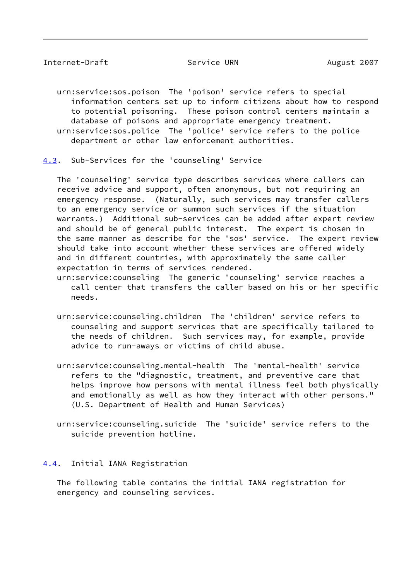<span id="page-9-1"></span> urn:service:sos.poison The 'poison' service refers to special information centers set up to inform citizens about how to respond to potential poisoning. These poison control centers maintain a database of poisons and appropriate emergency treatment. urn:service:sos.police The 'police' service refers to the police department or other law enforcement authorities.

<span id="page-9-0"></span>[4.3](#page-9-0). Sub-Services for the 'counseling' Service

 The 'counseling' service type describes services where callers can receive advice and support, often anonymous, but not requiring an emergency response. (Naturally, such services may transfer callers to an emergency service or summon such services if the situation warrants.) Additional sub-services can be added after expert review and should be of general public interest. The expert is chosen in the same manner as describe for the 'sos' service. The expert review should take into account whether these services are offered widely and in different countries, with approximately the same caller expectation in terms of services rendered.

 urn:service:counseling The generic 'counseling' service reaches a call center that transfers the caller based on his or her specific needs.

- urn:service:counseling.children The 'children' service refers to counseling and support services that are specifically tailored to the needs of children. Such services may, for example, provide advice to run-aways or victims of child abuse.
- urn:service:counseling.mental-health The 'mental-health' service refers to the "diagnostic, treatment, and preventive care that helps improve how persons with mental illness feel both physically and emotionally as well as how they interact with other persons." (U.S. Department of Health and Human Services)
- urn:service:counseling.suicide The 'suicide' service refers to the suicide prevention hotline.

## <span id="page-9-2"></span>[4.4](#page-9-2). Initial IANA Registration

 The following table contains the initial IANA registration for emergency and counseling services.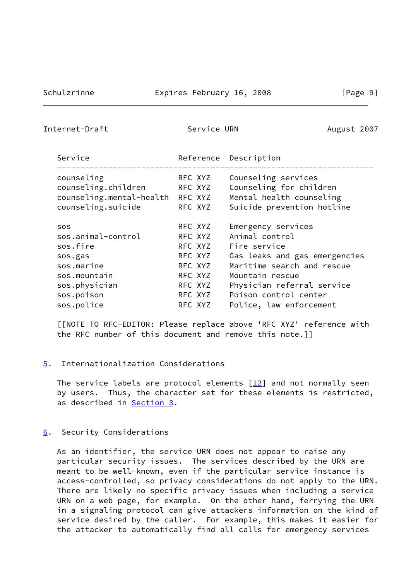<span id="page-10-1"></span>Internet-Draft Service URN August 2007

| Service                  |         | Reference Description         |
|--------------------------|---------|-------------------------------|
| counseling               | RFC XYZ | Counseling services           |
| counseling.children      | RFC XYZ | Counseling for children       |
| counseling.mental-health | RFC XYZ | Mental health counseling      |
| counseling.suicide       | RFC XYZ | Suicide prevention hotline    |
| <b>SOS</b>               | RFC XYZ | Emergency services            |
| sos.animal-control       | RFC XYZ | Animal control                |
| sos.fire                 | RFC XYZ | Fire service                  |
| sos.gas                  | RFC XYZ | Gas leaks and gas emergencies |
| sos.marine               | RFC XYZ | Maritime search and rescue    |
| sos.mountain             | RFC XYZ | Mountain rescue               |
| sos.physician            | RFC XYZ | Physician referral service    |
| sos.poison               | RFC XYZ | Poison control center         |
| sos.police               | RFC XYZ | Police, law enforcement       |

 [[NOTE TO RFC-EDITOR: Please replace above 'RFC XYZ' reference with the RFC number of this document and remove this note.]]

<span id="page-10-0"></span>[5](#page-10-0). Internationalization Considerations

The service labels are protocol elements  $\lceil \frac{12}{12} \rceil$  and not normally seen by users. Thus, the character set for these elements is restricted, as described in [Section 3](#page-4-1).

<span id="page-10-2"></span>[6](#page-10-2). Security Considerations

 As an identifier, the service URN does not appear to raise any particular security issues. The services described by the URN are meant to be well-known, even if the particular service instance is access-controlled, so privacy considerations do not apply to the URN. There are likely no specific privacy issues when including a service URN on a web page, for example. On the other hand, ferrying the URN in a signaling protocol can give attackers information on the kind of service desired by the caller. For example, this makes it easier for the attacker to automatically find all calls for emergency services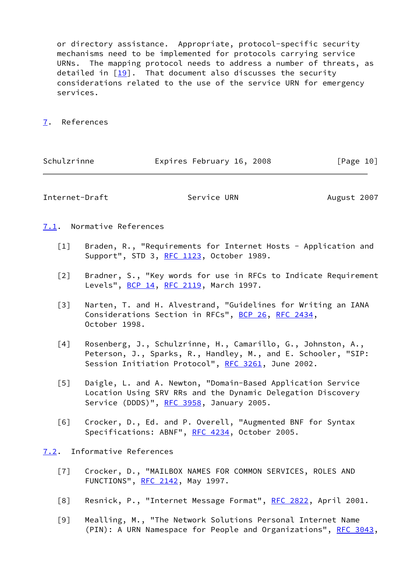or directory assistance. Appropriate, protocol-specific security mechanisms need to be implemented for protocols carrying service URNs. The mapping protocol needs to address a number of threats, as detailed in [\[19\]](#page-12-11). That document also discusses the security considerations related to the use of the service URN for emergency services.

## <span id="page-11-0"></span>[7](#page-11-0). References

| Schulzrinne | Expires February 16, 2008 |  | [Page 10] |  |
|-------------|---------------------------|--|-----------|--|
|             |                           |  |           |  |

<span id="page-11-1"></span>Internet-Draft Service URN August 2007

## <span id="page-11-2"></span>[7.1](#page-11-2). Normative References

- <span id="page-11-6"></span>[1] Braden, R., "Requirements for Internet Hosts - Application and Support", STD 3, [RFC 1123,](https://datatracker.ietf.org/doc/pdf/rfc1123) October 1989.
- <span id="page-11-5"></span> [2] Bradner, S., "Key words for use in RFCs to Indicate Requirement Levels", **[BCP 14](https://datatracker.ietf.org/doc/pdf/bcp14), RFC 2119**, March 1997.
- <span id="page-11-10"></span> [3] Narten, T. and H. Alvestrand, "Guidelines for Writing an IANA Considerations Section in RFCs", [BCP 26](https://datatracker.ietf.org/doc/pdf/bcp26), [RFC 2434,](https://datatracker.ietf.org/doc/pdf/rfc2434) October 1998.
- <span id="page-11-4"></span> [4] Rosenberg, J., Schulzrinne, H., Camarillo, G., Johnston, A., Peterson, J., Sparks, R., Handley, M., and E. Schooler, "SIP: Session Initiation Protocol", [RFC 3261,](https://datatracker.ietf.org/doc/pdf/rfc3261) June 2002.
- <span id="page-11-7"></span> [5] Daigle, L. and A. Newton, "Domain-Based Application Service Location Using SRV RRs and the Dynamic Delegation Discovery Service (DDDS)", [RFC 3958,](https://datatracker.ietf.org/doc/pdf/rfc3958) January 2005.
- <span id="page-11-8"></span> [6] Crocker, D., Ed. and P. Overell, "Augmented BNF for Syntax Specifications: ABNF", [RFC 4234](https://datatracker.ietf.org/doc/pdf/rfc4234), October 2005.
- <span id="page-11-12"></span><span id="page-11-11"></span><span id="page-11-9"></span><span id="page-11-3"></span>[7.2](#page-11-3). Informative References
	- [7] Crocker, D., "MAILBOX NAMES FOR COMMON SERVICES, ROLES AND FUNCTIONS", [RFC 2142](https://datatracker.ietf.org/doc/pdf/rfc2142), May 1997.
	- [8] Resnick, P., "Internet Message Format", [RFC 2822](https://datatracker.ietf.org/doc/pdf/rfc2822), April 2001.
	- [9] Mealling, M., "The Network Solutions Personal Internet Name (PIN): A URN Namespace for People and Organizations", [RFC 3043,](https://datatracker.ietf.org/doc/pdf/rfc3043)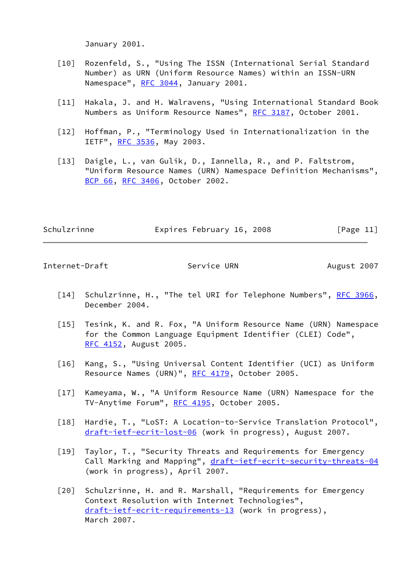January 2001.

- <span id="page-12-4"></span>[10] Rozenfeld, S., "Using The ISSN (International Serial Standard Number) as URN (Uniform Resource Names) within an ISSN-URN Namespace", [RFC 3044](https://datatracker.ietf.org/doc/pdf/rfc3044), January 2001.
- <span id="page-12-5"></span>[11] Hakala, J. and H. Walravens, "Using International Standard Book Numbers as Uniform Resource Names", [RFC 3187](https://datatracker.ietf.org/doc/pdf/rfc3187), October 2001.
- <span id="page-12-10"></span>[12] Hoffman, P., "Terminology Used in Internationalization in the IETF", [RFC 3536](https://datatracker.ietf.org/doc/pdf/rfc3536), May 2003.
- <span id="page-12-3"></span> [13] Daigle, L., van Gulik, D., Iannella, R., and P. Faltstrom, "Uniform Resource Names (URN) Namespace Definition Mechanisms", [BCP 66](https://datatracker.ietf.org/doc/pdf/bcp66), [RFC 3406](https://datatracker.ietf.org/doc/pdf/rfc3406), October 2002.

| Schulzrinne | Expires February 16, 2008 | [Page 11] |
|-------------|---------------------------|-----------|
|             |                           |           |

<span id="page-12-0"></span>Internet-Draft Service URN August 2007

- <span id="page-12-9"></span>[14] Schulzrinne, H., "The tel URI for Telephone Numbers", [RFC 3966,](https://datatracker.ietf.org/doc/pdf/rfc3966) December 2004.
- <span id="page-12-8"></span>[15] Tesink, K. and R. Fox, "A Uniform Resource Name (URN) Namespace for the Common Language Equipment Identifier (CLEI) Code", [RFC 4152](https://datatracker.ietf.org/doc/pdf/rfc4152), August 2005.
- <span id="page-12-6"></span> [16] Kang, S., "Using Universal Content Identifier (UCI) as Uniform Resource Names (URN)", [RFC 4179](https://datatracker.ietf.org/doc/pdf/rfc4179), October 2005.
- <span id="page-12-7"></span>[17] Kameyama, W., "A Uniform Resource Name (URN) Namespace for the TV-Anytime Forum", [RFC 4195](https://datatracker.ietf.org/doc/pdf/rfc4195), October 2005.
- <span id="page-12-1"></span>[18] Hardie, T., "LoST: A Location-to-Service Translation Protocol", [draft-ietf-ecrit-lost-06](https://datatracker.ietf.org/doc/pdf/draft-ietf-ecrit-lost-06) (work in progress), August 2007.
- <span id="page-12-11"></span> [19] Taylor, T., "Security Threats and Requirements for Emergency Call Marking and Mapping", [draft-ietf-ecrit-security-threats-04](https://datatracker.ietf.org/doc/pdf/draft-ietf-ecrit-security-threats-04) (work in progress), April 2007.
- <span id="page-12-2"></span> [20] Schulzrinne, H. and R. Marshall, "Requirements for Emergency Context Resolution with Internet Technologies", [draft-ietf-ecrit-requirements-13](https://datatracker.ietf.org/doc/pdf/draft-ietf-ecrit-requirements-13) (work in progress), March 2007.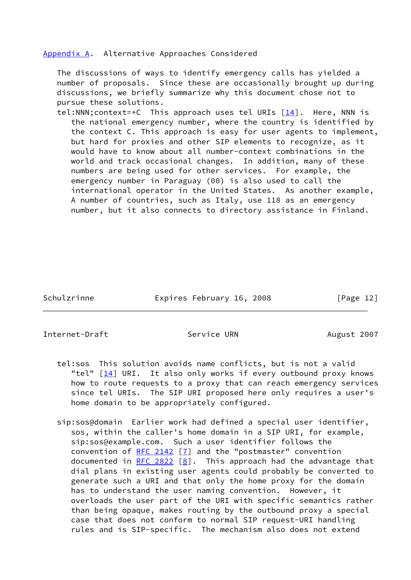#### <span id="page-13-0"></span>[Appendix A.](#page-13-0) Alternative Approaches Considered

 The discussions of ways to identify emergency calls has yielded a number of proposals. Since these are occasionally brought up during discussions, we briefly summarize why this document chose not to pursue these solutions.

tel:NNN; context=+C This approach uses tel URIs  $[14]$ . Here, NNN is the national emergency number, where the country is identified by the context C. This approach is easy for user agents to implement, but hard for proxies and other SIP elements to recognize, as it would have to know about all number-context combinations in the world and track occasional changes. In addition, many of these numbers are being used for other services. For example, the emergency number in Paraguay (00) is also used to call the international operator in the United States. As another example, A number of countries, such as Italy, use 118 as an emergency number, but it also connects to directory assistance in Finland.

Schulzrinne **Expires February 16, 2008** [Page 12]

<span id="page-13-1"></span>Internet-Draft Service URN August 2007

- tel:sos This solution avoids name conflicts, but is not a valid "tel"  $\lceil \frac{14}{14} \rceil$  URI. It also only works if every outbound proxy knows how to route requests to a proxy that can reach emergency services since tel URIs. The SIP URI proposed here only requires a user's home domain to be appropriately configured.
- sip:sos@domain Earlier work had defined a special user identifier, sos, within the caller's home domain in a SIP URI, for example, sip:sos@example.com. Such a user identifier follows the convention of [RFC 2142](https://datatracker.ietf.org/doc/pdf/rfc2142) [[7\]](#page-11-11) and the "postmaster" convention documented in [RFC 2822](https://datatracker.ietf.org/doc/pdf/rfc2822)  $[8]$  $[8]$ . This approach had the advantage that dial plans in existing user agents could probably be converted to generate such a URI and that only the home proxy for the domain has to understand the user naming convention. However, it overloads the user part of the URI with specific semantics rather than being opaque, makes routing by the outbound proxy a special case that does not conform to normal SIP request-URI handling rules and is SIP-specific. The mechanism also does not extend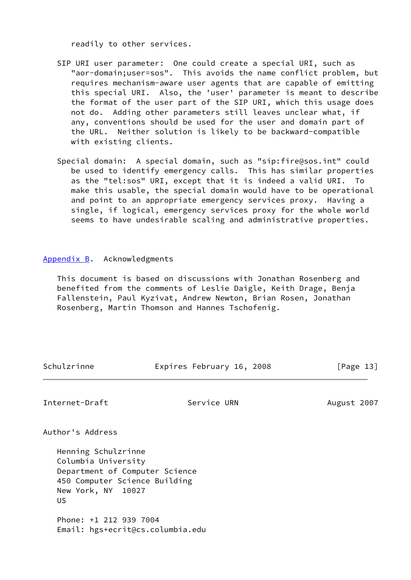readily to other services.

- SIP URI user parameter: One could create a special URI, such as "aor-domain;user=sos". This avoids the name conflict problem, but requires mechanism-aware user agents that are capable of emitting this special URI. Also, the 'user' parameter is meant to describe the format of the user part of the SIP URI, which this usage does not do. Adding other parameters still leaves unclear what, if any, conventions should be used for the user and domain part of the URL. Neither solution is likely to be backward-compatible with existing clients.
- Special domain: A special domain, such as "sip:fire@sos.int" could be used to identify emergency calls. This has similar properties as the "tel:sos" URI, except that it is indeed a valid URI. To make this usable, the special domain would have to be operational and point to an appropriate emergency services proxy. Having a single, if logical, emergency services proxy for the whole world seems to have undesirable scaling and administrative properties.

### <span id="page-14-0"></span>[Appendix B.](#page-14-0) Acknowledgments

 This document is based on discussions with Jonathan Rosenberg and benefited from the comments of Leslie Daigle, Keith Drage, Benja Fallenstein, Paul Kyzivat, Andrew Newton, Brian Rosen, Jonathan Rosenberg, Martin Thomson and Hannes Tschofenig.

Schulzrinne Expires February 16, 2008 [Page 13]

<span id="page-14-1"></span>

| Internet-Draft                 | Service URN | August 2007 |
|--------------------------------|-------------|-------------|
| Author's Address               |             |             |
| Henning Schulzrinne            |             |             |
| Columbia University            |             |             |
| Department of Computer Science |             |             |
| 450 Computer Science Building  |             |             |
| New York, NY 10027             |             |             |
| US                             |             |             |
|                                |             |             |

 Phone: +1 212 939 7004 Email: hgs+ecrit@cs.columbia.edu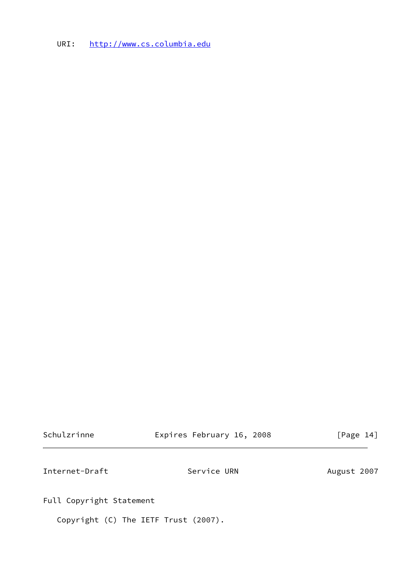URI: <http://www.cs.columbia.edu>

<span id="page-15-0"></span>

| Schulzrinne              | Expires February 16, 2008            | [Page 14]   |
|--------------------------|--------------------------------------|-------------|
| Internet-Draft           | Service URN                          | August 2007 |
| Full Copyright Statement |                                      |             |
|                          | Copyright (C) The IETF Trust (2007). |             |